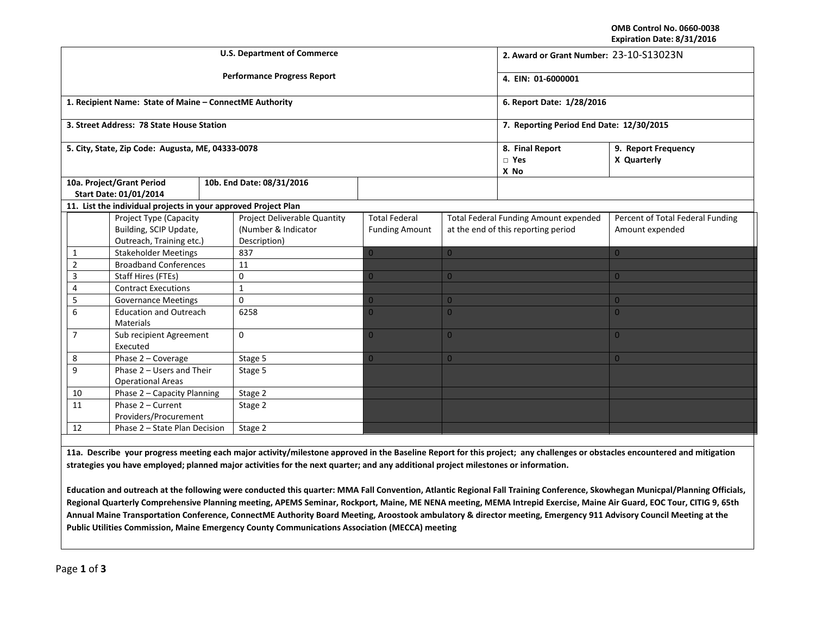**OMB Control No. 0660‐0038 Expiration Date: 8/31/2016**

| <b>U.S. Department of Commerce</b>                  |                                                                              |                                                                |         |                                                                     |                                               |                                                                                     | 2. Award or Grant Number: 23-10-S13023N |                                                     |  |
|-----------------------------------------------------|------------------------------------------------------------------------------|----------------------------------------------------------------|---------|---------------------------------------------------------------------|-----------------------------------------------|-------------------------------------------------------------------------------------|-----------------------------------------|-----------------------------------------------------|--|
|                                                     |                                                                              |                                                                |         | <b>Performance Progress Report</b>                                  | 4. EIN: 01-6000001                            |                                                                                     |                                         |                                                     |  |
|                                                     |                                                                              | 1. Recipient Name: State of Maine - ConnectME Authority        |         |                                                                     | 6. Report Date: 1/28/2016                     |                                                                                     |                                         |                                                     |  |
|                                                     |                                                                              | 3. Street Address: 78 State House Station                      |         |                                                                     | 7. Reporting Period End Date: 12/30/2015      |                                                                                     |                                         |                                                     |  |
| 5. City, State, Zip Code: Augusta, ME, 04333-0078   |                                                                              |                                                                |         |                                                                     |                                               |                                                                                     | 8. Final Report<br>$\Box$ Yes<br>X No   | 9. Report Frequency<br>X Quarterly                  |  |
| 10a. Project/Grant Period<br>Start Date: 01/01/2014 |                                                                              |                                                                |         | 10b. End Date: 08/31/2016                                           |                                               |                                                                                     |                                         |                                                     |  |
|                                                     |                                                                              | 11. List the individual projects in your approved Project Plan |         |                                                                     |                                               |                                                                                     |                                         |                                                     |  |
|                                                     | Project Type (Capacity<br>Building, SCIP Update,<br>Outreach, Training etc.) |                                                                |         | Project Deliverable Quantity<br>(Number & Indicator<br>Description) | <b>Total Federal</b><br><b>Funding Amount</b> | <b>Total Federal Funding Amount expended</b><br>at the end of this reporting period |                                         | Percent of Total Federal Funding<br>Amount expended |  |
| 1                                                   |                                                                              | <b>Stakeholder Meetings</b>                                    |         | 837                                                                 |                                               | $\overline{0}$                                                                      |                                         | $\overline{0}$                                      |  |
| $\overline{2}$                                      |                                                                              | <b>Broadband Conferences</b>                                   |         | 11                                                                  |                                               |                                                                                     |                                         |                                                     |  |
| 3                                                   |                                                                              | <b>Staff Hires (FTEs)</b>                                      |         | 0                                                                   | 0                                             | $\overline{0}$                                                                      |                                         | $\overline{0}$                                      |  |
| 4                                                   |                                                                              | <b>Contract Executions</b>                                     |         | $\mathbf{1}$                                                        |                                               |                                                                                     |                                         |                                                     |  |
| 5                                                   |                                                                              | <b>Governance Meetings</b>                                     |         | 0                                                                   | 0                                             | $\overline{0}$                                                                      |                                         | $\overline{0}$                                      |  |
| 6                                                   |                                                                              | <b>Education and Outreach</b><br>Materials                     |         | 6258                                                                | O.                                            | $\Omega$                                                                            |                                         | $\overline{0}$                                      |  |
| $\overline{7}$                                      |                                                                              | Sub recipient Agreement<br>Executed                            |         | $\Omega$                                                            | $\Omega$                                      | $\overline{0}$                                                                      |                                         | $\overline{0}$                                      |  |
| 8                                                   |                                                                              | Phase 2 - Coverage                                             |         | Stage 5                                                             | $\overline{0}$                                | $\overline{0}$                                                                      |                                         | $\Omega$                                            |  |
| 9                                                   |                                                                              | Phase 2 - Users and Their<br><b>Operational Areas</b>          |         | Stage 5                                                             |                                               |                                                                                     |                                         |                                                     |  |
| 10                                                  |                                                                              | Phase 2 - Capacity Planning                                    |         | Stage 2                                                             |                                               |                                                                                     |                                         |                                                     |  |
| 11                                                  | Phase 2 - Current<br>Providers/Procurement                                   |                                                                | Stage 2 |                                                                     |                                               |                                                                                     |                                         |                                                     |  |
| 12                                                  | Phase 2 - State Plan Decision                                                |                                                                |         | Stage 2                                                             |                                               |                                                                                     |                                         |                                                     |  |
|                                                     |                                                                              |                                                                |         |                                                                     |                                               |                                                                                     |                                         |                                                     |  |

11a. Describe your progress meeting each major activity/milestone approved in the Baseline Report for this project; any challenges or obstacles encountered and mitigation strategies you have employed; planned major activities for the next quarter; and any additional project milestones or information.

Education and outreach at the following were conducted this quarter: MMA Fall Convention, Atlantic Regional Fall Training Conference, Skowhegan Municpal/Planning Officials, Regional Quarterly Comprehensive Planning meeting, APEMS Seminar, Rockport, Maine, ME NENA meeting, MEMA Intrepid Exercise, Maine Air Guard, EOC Tour, CITIG 9, 65th Annual Maine Transportation Conference, ConnectME Authority Board Meeting, Aroostook ambulatory & director meeting, Emergency 911 Advisory Council Meeting at the **Public Utilities Commission, Maine Emergency County Communications Association (MECCA) meeting**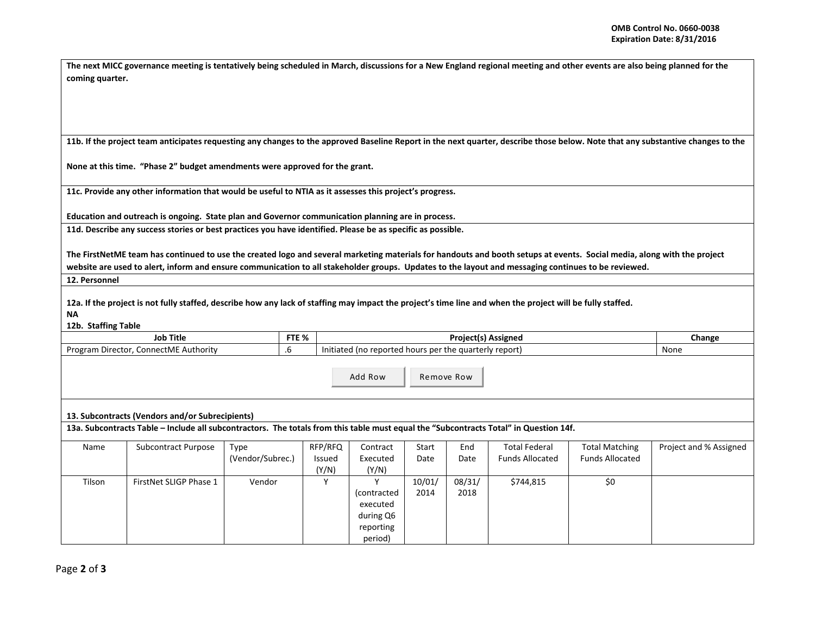|                 | The next MICC governance meeting is tentatively being scheduled in March, discussions for a New England regional meeting and other events are also being planned for the |
|-----------------|--------------------------------------------------------------------------------------------------------------------------------------------------------------------------|
| coming quarter. |                                                                                                                                                                          |

11b. If the project team anticipates requesting any changes to the approved Baseline Report in the next quarter, describe those below. Note that any substantive changes to the

**None at this time. "Phase 2" budget amendments were approved for the grant.**

**11c. Provide any other information that would be useful to NTIA as it assesses this project's progress.**

**Education and outreach is ongoing. State plan and Governor communication planning are in process.**

11d. Describe any success stories or best practices you have identified. Please be as specific as possible.

The FirstNetME team has continued to use the created logo and several marketing materials for handouts and booth setups at events. Social media, along with the project website are used to alert, inform and ensure communication to all stakeholder groups. Updates to the layout and messaging continues to be reviewed.

**12. Personnel**

12a. If the project is not fully staffed, describe how any lack of staffing may impact the project's time line and when the project will be fully staffed.

**NA**

## **12b. Staffing Table**

|                                                                                                                                       | <b>Job Title</b>           |                  | FTE %           | <b>Project(s) Assigned</b>                             |        |        |                        | Change                 |                        |  |
|---------------------------------------------------------------------------------------------------------------------------------------|----------------------------|------------------|-----------------|--------------------------------------------------------|--------|--------|------------------------|------------------------|------------------------|--|
| Program Director, ConnectME Authority                                                                                                 |                            |                  |                 | Initiated (no reported hours per the quarterly report) |        |        |                        | None                   |                        |  |
| Add Row<br>Remove Row                                                                                                                 |                            |                  |                 |                                                        |        |        |                        |                        |                        |  |
| 13. Subcontracts (Vendors and/or Subrecipients)                                                                                       |                            |                  |                 |                                                        |        |        |                        |                        |                        |  |
| 13a. Subcontracts Table – Include all subcontractors. The totals from this table must equal the "Subcontracts Total" in Question 14f. |                            |                  |                 |                                                        |        |        |                        |                        |                        |  |
| Name                                                                                                                                  | <b>Subcontract Purpose</b> | Type             | RFP/RFQ         | Contract                                               | Start  | End    | <b>Total Federal</b>   | <b>Total Matching</b>  | Project and % Assigned |  |
|                                                                                                                                       |                            | (Vendor/Subrec.) | Issued<br>(Y/N) | Executed<br>(Y/N)                                      | Date   | Date   | <b>Funds Allocated</b> | <b>Funds Allocated</b> |                        |  |
| Tilson                                                                                                                                | FirstNet SLIGP Phase 1     | Vendor           | Υ               | ۷                                                      | 10/01/ | 08/31/ | \$744,815              | \$0                    |                        |  |
|                                                                                                                                       |                            |                  |                 | (contracted                                            | 2014   | 2018   |                        |                        |                        |  |
|                                                                                                                                       |                            |                  |                 | executed                                               |        |        |                        |                        |                        |  |
|                                                                                                                                       |                            |                  |                 | during Q6                                              |        |        |                        |                        |                        |  |
|                                                                                                                                       |                            |                  |                 | reporting                                              |        |        |                        |                        |                        |  |
|                                                                                                                                       |                            |                  |                 | period)                                                |        |        |                        |                        |                        |  |